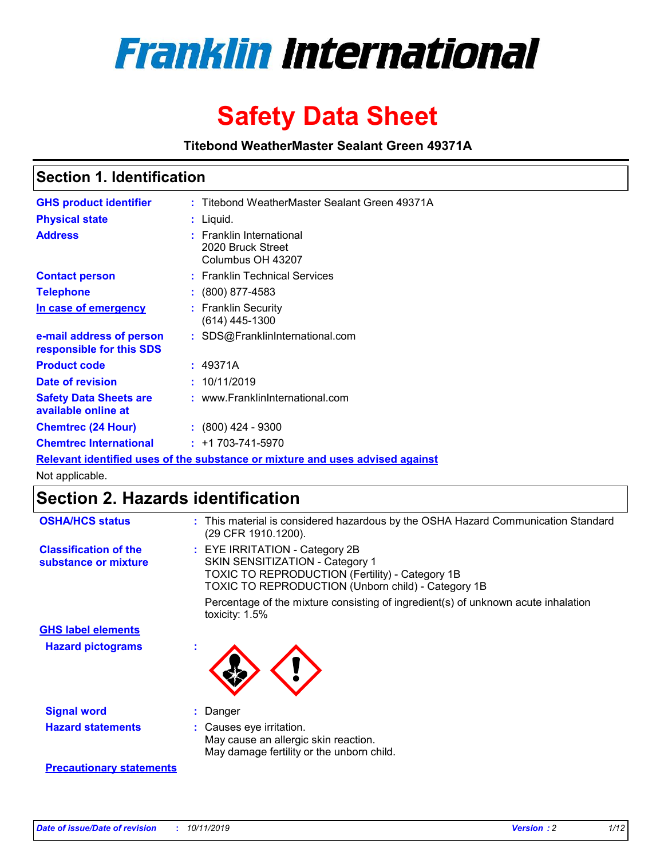

# **Safety Data Sheet**

**Titebond WeatherMaster Sealant Green 49371A**

### **Section 1. Identification**

| <b>GHS product identifier</b>                        | : Titebond WeatherMaster Sealant Green 49371A                                 |
|------------------------------------------------------|-------------------------------------------------------------------------------|
| <b>Physical state</b>                                | : Liquid.                                                                     |
| <b>Address</b>                                       | : Franklin International<br>2020 Bruck Street<br>Columbus OH 43207            |
| <b>Contact person</b>                                | : Franklin Technical Services                                                 |
| <b>Telephone</b>                                     | $\div$ (800) 877-4583                                                         |
| In case of emergency                                 | : Franklin Security<br>$(614)$ 445-1300                                       |
| e-mail address of person<br>responsible for this SDS | : SDS@FranklinInternational.com                                               |
| <b>Product code</b>                                  | : 49371A                                                                      |
| Date of revision                                     | : 10/11/2019                                                                  |
| <b>Safety Data Sheets are</b><br>available online at | : www.FranklinInternational.com                                               |
| <b>Chemtrec (24 Hour)</b>                            | $\div$ (800) 424 - 9300                                                       |
| <b>Chemtrec International</b>                        | $: +1703 - 741 - 5970$                                                        |
|                                                      | Relevant identified uses of the substance or mixture and uses advised against |

Not applicable.

## **Section 2. Hazards identification**

| <b>OSHA/HCS status</b>                               | : This material is considered hazardous by the OSHA Hazard Communication Standard<br>(29 CFR 1910.1200).                                                                          |
|------------------------------------------------------|-----------------------------------------------------------------------------------------------------------------------------------------------------------------------------------|
| <b>Classification of the</b><br>substance or mixture | : EYE IRRITATION - Category 2B<br>SKIN SENSITIZATION - Category 1<br><b>TOXIC TO REPRODUCTION (Fertility) - Category 1B</b><br>TOXIC TO REPRODUCTION (Unborn child) - Category 1B |
|                                                      | Percentage of the mixture consisting of ingredient(s) of unknown acute inhalation<br>toxicity: $1.5\%$                                                                            |
| <b>GHS label elements</b>                            |                                                                                                                                                                                   |
| <b>Hazard pictograms</b>                             |                                                                                                                                                                                   |
| <b>Signal word</b>                                   | : Danger                                                                                                                                                                          |
| <b>Hazard statements</b>                             | : Causes eye irritation.<br>May cause an allergic skin reaction.<br>May damage fertility or the unborn child.                                                                     |
| <b>Precautionary statements</b>                      |                                                                                                                                                                                   |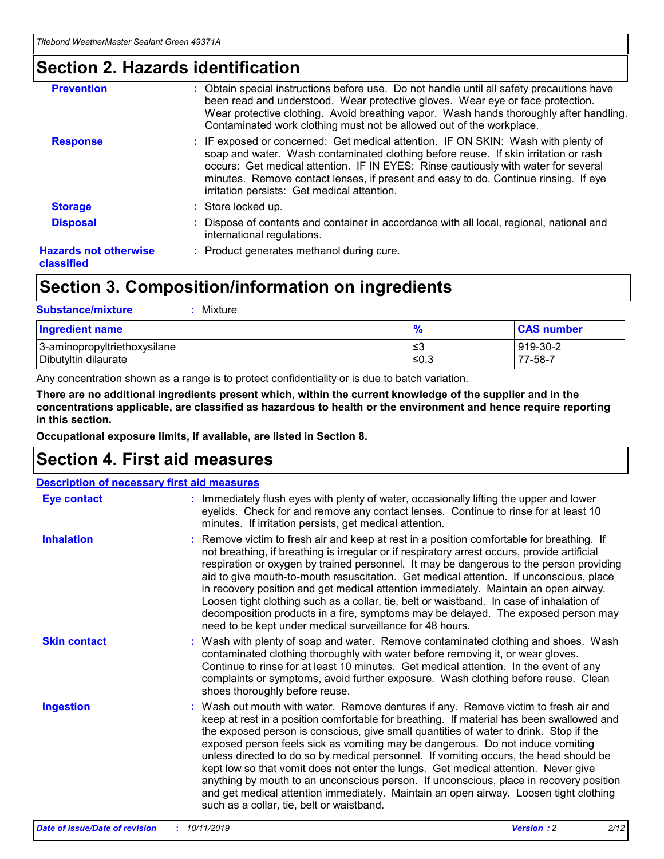### **Section 2. Hazards identification**

| <b>Prevention</b>                          | : Obtain special instructions before use. Do not handle until all safety precautions have<br>been read and understood. Wear protective gloves. Wear eye or face protection.<br>Wear protective clothing. Avoid breathing vapor. Wash hands thoroughly after handling.<br>Contaminated work clothing must not be allowed out of the workplace.                                                        |
|--------------------------------------------|------------------------------------------------------------------------------------------------------------------------------------------------------------------------------------------------------------------------------------------------------------------------------------------------------------------------------------------------------------------------------------------------------|
| <b>Response</b>                            | : IF exposed or concerned: Get medical attention. IF ON SKIN: Wash with plenty of<br>soap and water. Wash contaminated clothing before reuse. If skin irritation or rash<br>occurs: Get medical attention. IF IN EYES: Rinse cautiously with water for several<br>minutes. Remove contact lenses, if present and easy to do. Continue rinsing. If eye<br>irritation persists: Get medical attention. |
| <b>Storage</b>                             | : Store locked up.                                                                                                                                                                                                                                                                                                                                                                                   |
| <b>Disposal</b>                            | : Dispose of contents and container in accordance with all local, regional, national and<br>international regulations.                                                                                                                                                                                                                                                                               |
| <b>Hazards not otherwise</b><br>classified | : Product generates methanol during cure.                                                                                                                                                                                                                                                                                                                                                            |
|                                            |                                                                                                                                                                                                                                                                                                                                                                                                      |

### **Section 3. Composition/information on ingredients**

| <b>Substance/mixture</b><br>Mixture                  |               |                     |
|------------------------------------------------------|---------------|---------------------|
| <b>Ingredient name</b>                               | $\frac{9}{6}$ | <b>CAS number</b>   |
| 3-aminopropyltriethoxysilane<br>Dibutyltin dilaurate | ≤3<br>$≤0.3$  | 919-30-2<br>77-58-7 |

Any concentration shown as a range is to protect confidentiality or is due to batch variation.

**There are no additional ingredients present which, within the current knowledge of the supplier and in the concentrations applicable, are classified as hazardous to health or the environment and hence require reporting in this section.**

**Occupational exposure limits, if available, are listed in Section 8.**

### **Section 4. First aid measures**

| <b>Description of necessary first aid measures</b> |                                                                                                                                                                                                                                                                                                                                                                                                                                                                                                                                                                                                                                                                                                                                                                           |
|----------------------------------------------------|---------------------------------------------------------------------------------------------------------------------------------------------------------------------------------------------------------------------------------------------------------------------------------------------------------------------------------------------------------------------------------------------------------------------------------------------------------------------------------------------------------------------------------------------------------------------------------------------------------------------------------------------------------------------------------------------------------------------------------------------------------------------------|
| <b>Eye contact</b>                                 | : Immediately flush eyes with plenty of water, occasionally lifting the upper and lower<br>eyelids. Check for and remove any contact lenses. Continue to rinse for at least 10<br>minutes. If irritation persists, get medical attention.                                                                                                                                                                                                                                                                                                                                                                                                                                                                                                                                 |
| <b>Inhalation</b>                                  | : Remove victim to fresh air and keep at rest in a position comfortable for breathing. If<br>not breathing, if breathing is irregular or if respiratory arrest occurs, provide artificial<br>respiration or oxygen by trained personnel. It may be dangerous to the person providing<br>aid to give mouth-to-mouth resuscitation. Get medical attention. If unconscious, place<br>in recovery position and get medical attention immediately. Maintain an open airway.<br>Loosen tight clothing such as a collar, tie, belt or waistband. In case of inhalation of<br>decomposition products in a fire, symptoms may be delayed. The exposed person may<br>need to be kept under medical surveillance for 48 hours.                                                       |
| <b>Skin contact</b>                                | : Wash with plenty of soap and water. Remove contaminated clothing and shoes. Wash<br>contaminated clothing thoroughly with water before removing it, or wear gloves.<br>Continue to rinse for at least 10 minutes. Get medical attention. In the event of any<br>complaints or symptoms, avoid further exposure. Wash clothing before reuse. Clean<br>shoes thoroughly before reuse.                                                                                                                                                                                                                                                                                                                                                                                     |
| <b>Ingestion</b>                                   | : Wash out mouth with water. Remove dentures if any. Remove victim to fresh air and<br>keep at rest in a position comfortable for breathing. If material has been swallowed and<br>the exposed person is conscious, give small quantities of water to drink. Stop if the<br>exposed person feels sick as vomiting may be dangerous. Do not induce vomiting<br>unless directed to do so by medical personnel. If vomiting occurs, the head should be<br>kept low so that vomit does not enter the lungs. Get medical attention. Never give<br>anything by mouth to an unconscious person. If unconscious, place in recovery position<br>and get medical attention immediately. Maintain an open airway. Loosen tight clothing<br>such as a collar, tie, belt or waistband. |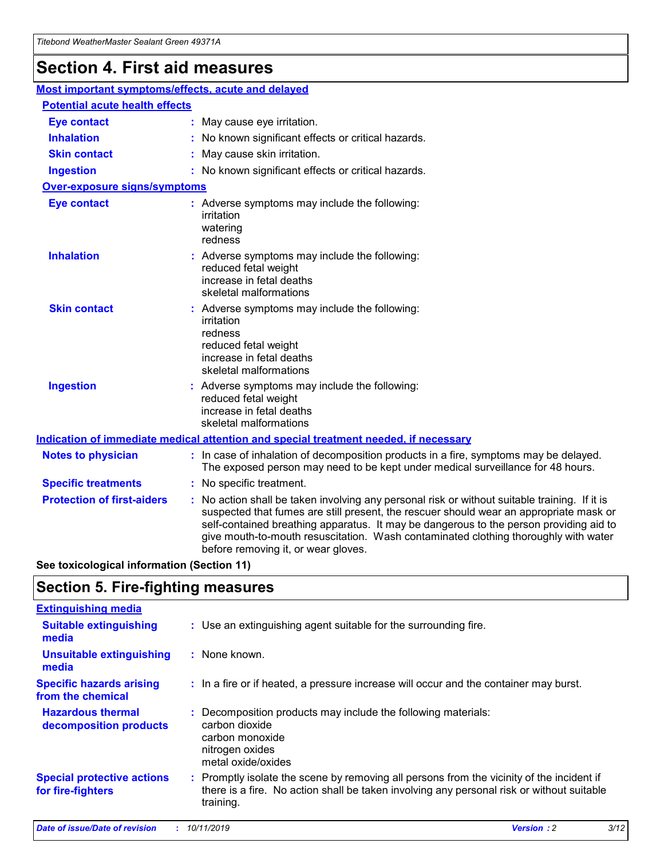## **Section 4. First aid measures**

| Most important symptoms/effects, acute and delayed |  |                                                                                                                                                                                                                                                                                                                                                                                                                 |
|----------------------------------------------------|--|-----------------------------------------------------------------------------------------------------------------------------------------------------------------------------------------------------------------------------------------------------------------------------------------------------------------------------------------------------------------------------------------------------------------|
| <b>Potential acute health effects</b>              |  |                                                                                                                                                                                                                                                                                                                                                                                                                 |
| <b>Eye contact</b>                                 |  | : May cause eye irritation.                                                                                                                                                                                                                                                                                                                                                                                     |
| <b>Inhalation</b>                                  |  | : No known significant effects or critical hazards.                                                                                                                                                                                                                                                                                                                                                             |
| <b>Skin contact</b>                                |  | : May cause skin irritation.                                                                                                                                                                                                                                                                                                                                                                                    |
| <b>Ingestion</b>                                   |  | : No known significant effects or critical hazards.                                                                                                                                                                                                                                                                                                                                                             |
| <b>Over-exposure signs/symptoms</b>                |  |                                                                                                                                                                                                                                                                                                                                                                                                                 |
| <b>Eye contact</b>                                 |  | : Adverse symptoms may include the following:<br>irritation<br>watering<br>redness                                                                                                                                                                                                                                                                                                                              |
| <b>Inhalation</b>                                  |  | : Adverse symptoms may include the following:<br>reduced fetal weight<br>increase in fetal deaths<br>skeletal malformations                                                                                                                                                                                                                                                                                     |
| <b>Skin contact</b>                                |  | : Adverse symptoms may include the following:<br>irritation<br>redness<br>reduced fetal weight<br>increase in fetal deaths<br>skeletal malformations                                                                                                                                                                                                                                                            |
| <b>Ingestion</b>                                   |  | : Adverse symptoms may include the following:<br>reduced fetal weight<br>increase in fetal deaths<br>skeletal malformations                                                                                                                                                                                                                                                                                     |
|                                                    |  | <b>Indication of immediate medical attention and special treatment needed, if necessary</b>                                                                                                                                                                                                                                                                                                                     |
| <b>Notes to physician</b>                          |  | : In case of inhalation of decomposition products in a fire, symptoms may be delayed.<br>The exposed person may need to be kept under medical surveillance for 48 hours.                                                                                                                                                                                                                                        |
| <b>Specific treatments</b>                         |  | : No specific treatment.                                                                                                                                                                                                                                                                                                                                                                                        |
| <b>Protection of first-aiders</b>                  |  | : No action shall be taken involving any personal risk or without suitable training. If it is<br>suspected that fumes are still present, the rescuer should wear an appropriate mask or<br>self-contained breathing apparatus. It may be dangerous to the person providing aid to<br>give mouth-to-mouth resuscitation. Wash contaminated clothing thoroughly with water<br>before removing it, or wear gloves. |

**See toxicological information (Section 11)**

### **Section 5. Fire-fighting measures**

| <b>Extinguishing media</b>                             |                                                                                                                                                                                                     |
|--------------------------------------------------------|-----------------------------------------------------------------------------------------------------------------------------------------------------------------------------------------------------|
| <b>Suitable extinguishing</b><br>media                 | : Use an extinguishing agent suitable for the surrounding fire.                                                                                                                                     |
| <b>Unsuitable extinguishing</b><br>media               | : None known.                                                                                                                                                                                       |
| <b>Specific hazards arising</b><br>from the chemical   | : In a fire or if heated, a pressure increase will occur and the container may burst.                                                                                                               |
| <b>Hazardous thermal</b><br>decomposition products     | : Decomposition products may include the following materials:<br>carbon dioxide<br>carbon monoxide<br>nitrogen oxides<br>metal oxide/oxides                                                         |
| <b>Special protective actions</b><br>for fire-fighters | : Promptly isolate the scene by removing all persons from the vicinity of the incident if<br>there is a fire. No action shall be taken involving any personal risk or without suitable<br>training. |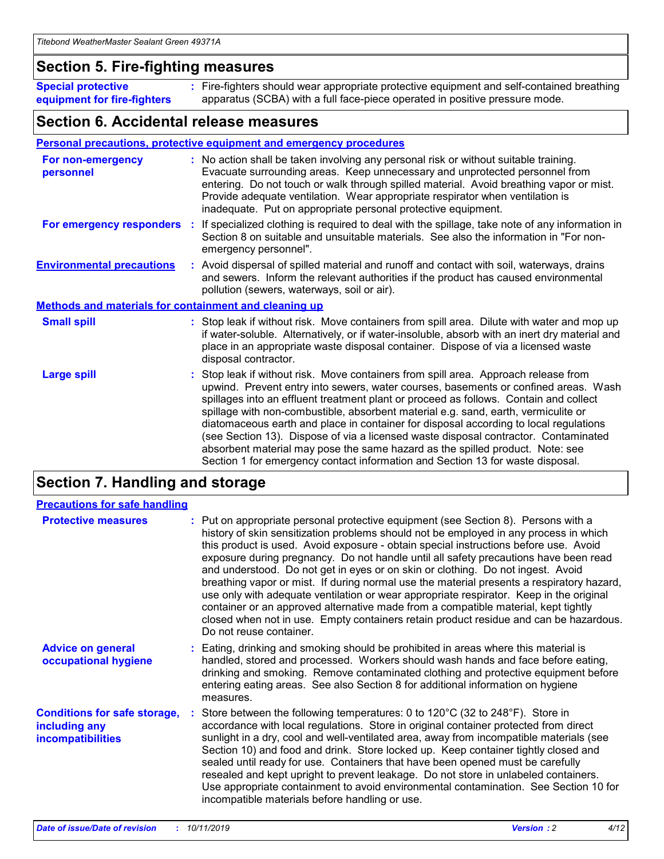### **Section 5. Fire-fighting measures**

**Special protective equipment for fire-fighters** Fire-fighters should wear appropriate protective equipment and self-contained breathing **:** apparatus (SCBA) with a full face-piece operated in positive pressure mode.

### **Section 6. Accidental release measures**

#### **Personal precautions, protective equipment and emergency procedures**

| For non-emergency<br>personnel                               | : No action shall be taken involving any personal risk or without suitable training.<br>Evacuate surrounding areas. Keep unnecessary and unprotected personnel from<br>entering. Do not touch or walk through spilled material. Avoid breathing vapor or mist.<br>Provide adequate ventilation. Wear appropriate respirator when ventilation is<br>inadequate. Put on appropriate personal protective equipment.                                                                                                                                                                                                                                                                                             |
|--------------------------------------------------------------|--------------------------------------------------------------------------------------------------------------------------------------------------------------------------------------------------------------------------------------------------------------------------------------------------------------------------------------------------------------------------------------------------------------------------------------------------------------------------------------------------------------------------------------------------------------------------------------------------------------------------------------------------------------------------------------------------------------|
| For emergency responders                                     | : If specialized clothing is required to deal with the spillage, take note of any information in<br>Section 8 on suitable and unsuitable materials. See also the information in "For non-<br>emergency personnel".                                                                                                                                                                                                                                                                                                                                                                                                                                                                                           |
| <b>Environmental precautions</b>                             | : Avoid dispersal of spilled material and runoff and contact with soil, waterways, drains<br>and sewers. Inform the relevant authorities if the product has caused environmental<br>pollution (sewers, waterways, soil or air).                                                                                                                                                                                                                                                                                                                                                                                                                                                                              |
| <b>Methods and materials for containment and cleaning up</b> |                                                                                                                                                                                                                                                                                                                                                                                                                                                                                                                                                                                                                                                                                                              |
| <b>Small spill</b>                                           | : Stop leak if without risk. Move containers from spill area. Dilute with water and mop up<br>if water-soluble. Alternatively, or if water-insoluble, absorb with an inert dry material and<br>place in an appropriate waste disposal container. Dispose of via a licensed waste<br>disposal contractor.                                                                                                                                                                                                                                                                                                                                                                                                     |
| <b>Large spill</b>                                           | : Stop leak if without risk. Move containers from spill area. Approach release from<br>upwind. Prevent entry into sewers, water courses, basements or confined areas. Wash<br>spillages into an effluent treatment plant or proceed as follows. Contain and collect<br>spillage with non-combustible, absorbent material e.g. sand, earth, vermiculite or<br>diatomaceous earth and place in container for disposal according to local regulations<br>(see Section 13). Dispose of via a licensed waste disposal contractor. Contaminated<br>absorbent material may pose the same hazard as the spilled product. Note: see<br>Section 1 for emergency contact information and Section 13 for waste disposal. |

### **Section 7. Handling and storage**

| <b>Precautions for safe handling</b>                                             |                                                                                                                                                                                                                                                                                                                                                                                                                                                                                                                                                                                                                                                                                                                                                                                                                                                  |
|----------------------------------------------------------------------------------|--------------------------------------------------------------------------------------------------------------------------------------------------------------------------------------------------------------------------------------------------------------------------------------------------------------------------------------------------------------------------------------------------------------------------------------------------------------------------------------------------------------------------------------------------------------------------------------------------------------------------------------------------------------------------------------------------------------------------------------------------------------------------------------------------------------------------------------------------|
| <b>Protective measures</b>                                                       | : Put on appropriate personal protective equipment (see Section 8). Persons with a<br>history of skin sensitization problems should not be employed in any process in which<br>this product is used. Avoid exposure - obtain special instructions before use. Avoid<br>exposure during pregnancy. Do not handle until all safety precautions have been read<br>and understood. Do not get in eyes or on skin or clothing. Do not ingest. Avoid<br>breathing vapor or mist. If during normal use the material presents a respiratory hazard,<br>use only with adequate ventilation or wear appropriate respirator. Keep in the original<br>container or an approved alternative made from a compatible material, kept tightly<br>closed when not in use. Empty containers retain product residue and can be hazardous.<br>Do not reuse container. |
| <b>Advice on general</b><br>occupational hygiene                                 | : Eating, drinking and smoking should be prohibited in areas where this material is<br>handled, stored and processed. Workers should wash hands and face before eating,<br>drinking and smoking. Remove contaminated clothing and protective equipment before<br>entering eating areas. See also Section 8 for additional information on hygiene<br>measures.                                                                                                                                                                                                                                                                                                                                                                                                                                                                                    |
| <b>Conditions for safe storage,</b><br>including any<br><b>incompatibilities</b> | Store between the following temperatures: 0 to 120°C (32 to 248°F). Store in<br>accordance with local regulations. Store in original container protected from direct<br>sunlight in a dry, cool and well-ventilated area, away from incompatible materials (see<br>Section 10) and food and drink. Store locked up. Keep container tightly closed and<br>sealed until ready for use. Containers that have been opened must be carefully<br>resealed and kept upright to prevent leakage. Do not store in unlabeled containers.<br>Use appropriate containment to avoid environmental contamination. See Section 10 for<br>incompatible materials before handling or use.                                                                                                                                                                         |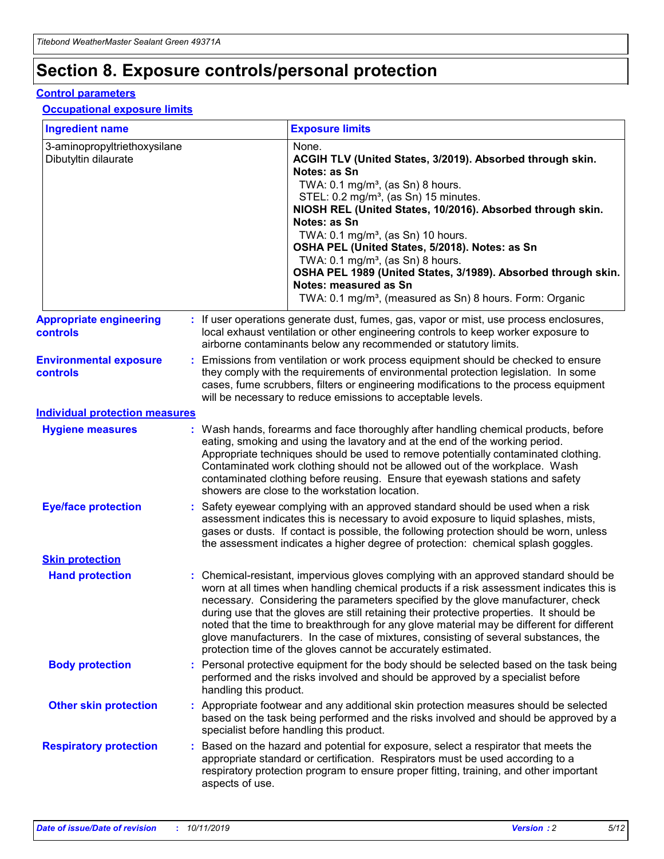## **Section 8. Exposure controls/personal protection**

#### **Control parameters**

#### **Occupational exposure limits**

| <b>Ingredient name</b>                               |    |                                          | <b>Exposure limits</b>                                                                                                                                                                                                                                                                                                                                                                                                                                                                                                                                                                                                 |
|------------------------------------------------------|----|------------------------------------------|------------------------------------------------------------------------------------------------------------------------------------------------------------------------------------------------------------------------------------------------------------------------------------------------------------------------------------------------------------------------------------------------------------------------------------------------------------------------------------------------------------------------------------------------------------------------------------------------------------------------|
| 3-aminopropyltriethoxysilane<br>Dibutyltin dilaurate |    |                                          | None.<br>ACGIH TLV (United States, 3/2019). Absorbed through skin.<br>Notes: as Sn<br>TWA: 0.1 mg/m <sup>3</sup> , (as Sn) 8 hours.<br>STEL: 0.2 mg/m <sup>3</sup> , (as Sn) 15 minutes.<br>NIOSH REL (United States, 10/2016). Absorbed through skin.<br>Notes: as Sn<br>TWA: 0.1 mg/m <sup>3</sup> , (as Sn) 10 hours.<br>OSHA PEL (United States, 5/2018). Notes: as Sn<br>TWA: $0.1 \text{ mg/m}^3$ , (as Sn) 8 hours.<br>OSHA PEL 1989 (United States, 3/1989). Absorbed through skin.<br>Notes: measured as Sn<br>TWA: 0.1 mg/m <sup>3</sup> , (measured as Sn) 8 hours. Form: Organic                           |
| <b>Appropriate engineering</b><br>controls           |    |                                          | : If user operations generate dust, fumes, gas, vapor or mist, use process enclosures,<br>local exhaust ventilation or other engineering controls to keep worker exposure to<br>airborne contaminants below any recommended or statutory limits.                                                                                                                                                                                                                                                                                                                                                                       |
| <b>Environmental exposure</b><br><b>controls</b>     |    |                                          | Emissions from ventilation or work process equipment should be checked to ensure<br>they comply with the requirements of environmental protection legislation. In some<br>cases, fume scrubbers, filters or engineering modifications to the process equipment<br>will be necessary to reduce emissions to acceptable levels.                                                                                                                                                                                                                                                                                          |
| <b>Individual protection measures</b>                |    |                                          |                                                                                                                                                                                                                                                                                                                                                                                                                                                                                                                                                                                                                        |
| <b>Hygiene measures</b>                              |    |                                          | : Wash hands, forearms and face thoroughly after handling chemical products, before<br>eating, smoking and using the lavatory and at the end of the working period.<br>Appropriate techniques should be used to remove potentially contaminated clothing.<br>Contaminated work clothing should not be allowed out of the workplace. Wash<br>contaminated clothing before reusing. Ensure that eyewash stations and safety<br>showers are close to the workstation location.                                                                                                                                            |
| <b>Eye/face protection</b>                           |    |                                          | : Safety eyewear complying with an approved standard should be used when a risk<br>assessment indicates this is necessary to avoid exposure to liquid splashes, mists,<br>gases or dusts. If contact is possible, the following protection should be worn, unless<br>the assessment indicates a higher degree of protection: chemical splash goggles.                                                                                                                                                                                                                                                                  |
| <b>Skin protection</b>                               |    |                                          |                                                                                                                                                                                                                                                                                                                                                                                                                                                                                                                                                                                                                        |
| <b>Hand protection</b>                               |    |                                          | : Chemical-resistant, impervious gloves complying with an approved standard should be<br>worn at all times when handling chemical products if a risk assessment indicates this is<br>necessary. Considering the parameters specified by the glove manufacturer, check<br>during use that the gloves are still retaining their protective properties. It should be<br>noted that the time to breakthrough for any glove material may be different for different<br>glove manufacturers. In the case of mixtures, consisting of several substances, the<br>protection time of the gloves cannot be accurately estimated. |
| <b>Body protection</b>                               |    | handling this product.                   | Personal protective equipment for the body should be selected based on the task being<br>performed and the risks involved and should be approved by a specialist before                                                                                                                                                                                                                                                                                                                                                                                                                                                |
| <b>Other skin protection</b>                         |    | specialist before handling this product. | : Appropriate footwear and any additional skin protection measures should be selected<br>based on the task being performed and the risks involved and should be approved by a                                                                                                                                                                                                                                                                                                                                                                                                                                          |
| <b>Respiratory protection</b>                        | ÷. | aspects of use.                          | Based on the hazard and potential for exposure, select a respirator that meets the<br>appropriate standard or certification. Respirators must be used according to a<br>respiratory protection program to ensure proper fitting, training, and other important                                                                                                                                                                                                                                                                                                                                                         |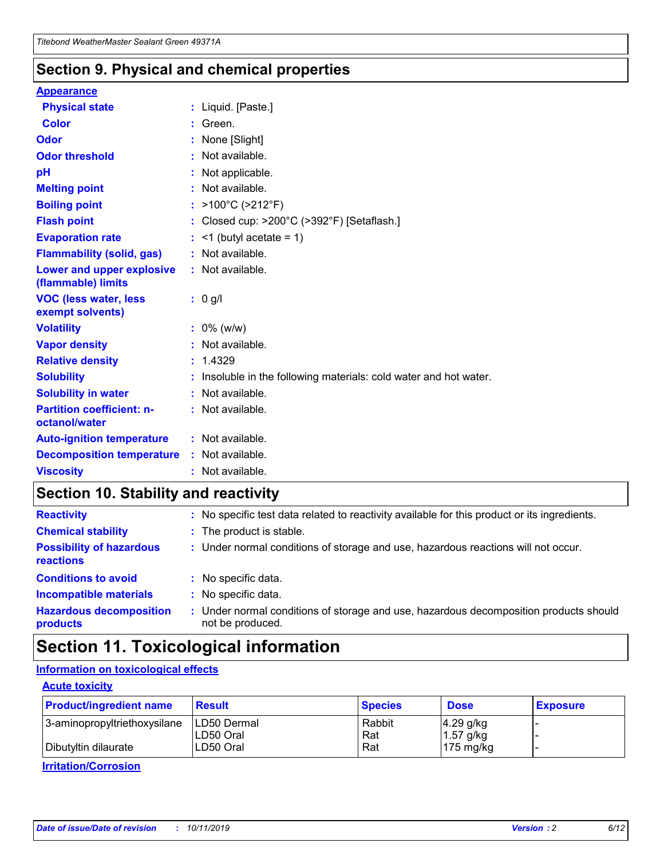### **Section 9. Physical and chemical properties**

#### **Appearance**

| <b>Physical state</b>                             | : Liquid. [Paste.]                                              |
|---------------------------------------------------|-----------------------------------------------------------------|
| Color                                             | Green.                                                          |
| Odor                                              | : None [Slight]                                                 |
| <b>Odor threshold</b>                             | $:$ Not available.                                              |
| рH                                                | : Not applicable.                                               |
| <b>Melting point</b>                              | : Not available.                                                |
| <b>Boiling point</b>                              | : $>100^{\circ}$ C ( $>212^{\circ}$ F)                          |
| <b>Flash point</b>                                | : Closed cup: $>200^{\circ}$ C ( $>392^{\circ}$ F) [Setaflash.] |
| <b>Evaporation rate</b>                           | $:$ <1 (butyl acetate = 1)                                      |
| <b>Flammability (solid, gas)</b>                  | : Not available.                                                |
| Lower and upper explosive<br>(flammable) limits   | : Not available.                                                |
| <b>VOC (less water, less</b>                      | $: 0$ g/l                                                       |
| exempt solvents)                                  |                                                                 |
| <b>Volatility</b>                                 | $: 0\%$ (w/w)                                                   |
| <b>Vapor density</b>                              | : Not available.                                                |
| <b>Relative density</b>                           | : 1.4329                                                        |
| <b>Solubility</b>                                 | Insoluble in the following materials: cold water and hot water. |
| <b>Solubility in water</b>                        | : Not available.                                                |
| <b>Partition coefficient: n-</b><br>octanol/water | $:$ Not available.                                              |
| <b>Auto-ignition temperature</b>                  | : Not available.                                                |
| <b>Decomposition temperature</b>                  | : Not available.                                                |

### **Section 10. Stability and reactivity**

| <b>Reactivity</b>                            |    | : No specific test data related to reactivity available for this product or its ingredients.            |
|----------------------------------------------|----|---------------------------------------------------------------------------------------------------------|
| <b>Chemical stability</b>                    |    | : The product is stable.                                                                                |
| <b>Possibility of hazardous</b><br>reactions |    | : Under normal conditions of storage and use, hazardous reactions will not occur.                       |
| <b>Conditions to avoid</b>                   |    | : No specific data.                                                                                     |
| <b>Incompatible materials</b>                | ٠. | No specific data.                                                                                       |
| <b>Hazardous decomposition</b><br>products   | ÷. | Under normal conditions of storage and use, hazardous decomposition products should<br>not be produced. |

### **Section 11. Toxicological information**

### **Information on toxicological effects**

#### **Acute toxicity**

| <b>Product/ingredient name</b> | <b>Result</b>           | <b>Species</b> | <b>Dose</b>                | <b>Exposure</b> |
|--------------------------------|-------------------------|----------------|----------------------------|-----------------|
| 3-aminopropyltriethoxysilane   | <b>ILD50 Dermal</b>     | Rabbit         | 4.29 g/kg                  |                 |
| Dibutyltin dilaurate           | ILD50 Oral<br>LD50 Oral | Rat<br>Rat     | $1.57$ g/kg<br>175 $mg/kg$ |                 |
|                                |                         |                |                            |                 |

**Irritation/Corrosion**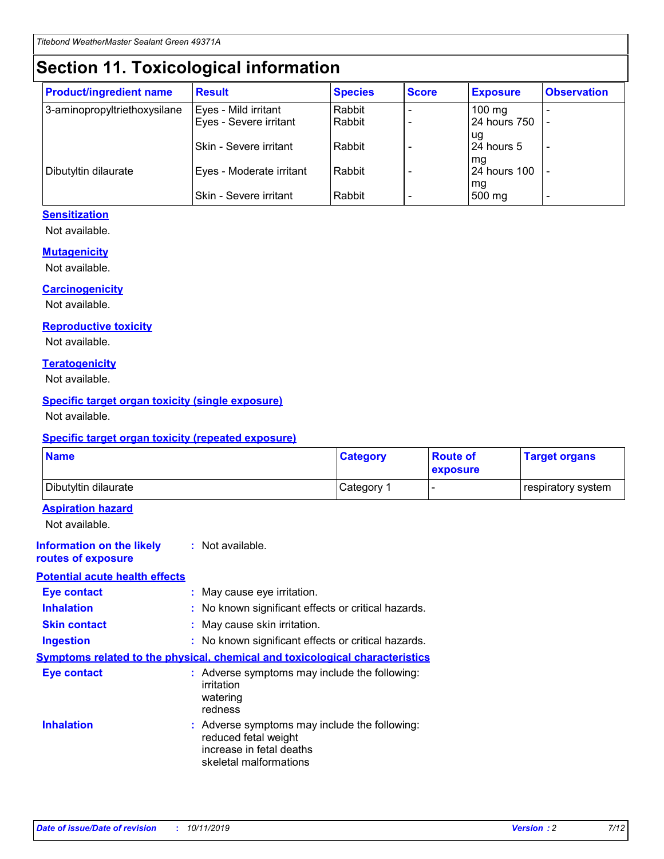## **Section 11. Toxicological information**

| <b>Product/ingredient name</b> | <b>Result</b>            | <b>Species</b> | <b>Score</b> | <b>Exposure</b>           | <b>Observation</b> |
|--------------------------------|--------------------------|----------------|--------------|---------------------------|--------------------|
| 3-aminopropyltriethoxysilane   | Eyes - Mild irritant     | Rabbit         |              | $100$ mg                  |                    |
|                                | Eyes - Severe irritant   | Rabbit         |              | 24 hours 750              |                    |
|                                |                          |                |              | ug                        |                    |
|                                | Skin - Severe irritant   | Rabbit         |              | 24 hours 5                | -                  |
| Dibutyltin dilaurate           | Eyes - Moderate irritant | Rabbit         |              | mq<br><b>24 hours 100</b> |                    |
|                                |                          |                |              | mg                        |                    |
|                                | Skin - Severe irritant   | Rabbit         |              | 500 mg                    |                    |

#### **Sensitization**

Not available.

#### **Mutagenicity**

Not available.

#### **Carcinogenicity**

Not available.

#### **Reproductive toxicity**

Not available.

#### **Teratogenicity**

Not available.

#### **Specific target organ toxicity (single exposure)**

Not available.

#### **Specific target organ toxicity (repeated exposure)**

| <b>Name</b>                                                                  |                                                                                                                             | <b>Category</b> | <b>Route of</b><br>exposure  | <b>Target organs</b> |
|------------------------------------------------------------------------------|-----------------------------------------------------------------------------------------------------------------------------|-----------------|------------------------------|----------------------|
| Dibutyltin dilaurate                                                         |                                                                                                                             | Category 1      | $\qquad \qquad \blacksquare$ | respiratory system   |
| <b>Aspiration hazard</b><br>Not available.                                   |                                                                                                                             |                 |                              |                      |
| <b>Information on the likely</b><br>routes of exposure                       | : Not available.                                                                                                            |                 |                              |                      |
| <b>Potential acute health effects</b>                                        |                                                                                                                             |                 |                              |                      |
| <b>Eye contact</b>                                                           | : May cause eye irritation.                                                                                                 |                 |                              |                      |
| <b>Inhalation</b>                                                            | : No known significant effects or critical hazards.                                                                         |                 |                              |                      |
| <b>Skin contact</b>                                                          | : May cause skin irritation.                                                                                                |                 |                              |                      |
| <b>Ingestion</b>                                                             | : No known significant effects or critical hazards.                                                                         |                 |                              |                      |
| Symptoms related to the physical, chemical and toxicological characteristics |                                                                                                                             |                 |                              |                      |
| <b>Eye contact</b>                                                           | : Adverse symptoms may include the following:<br>irritation<br>watering<br>redness                                          |                 |                              |                      |
| <b>Inhalation</b>                                                            | : Adverse symptoms may include the following:<br>reduced fetal weight<br>increase in fetal deaths<br>skeletal malformations |                 |                              |                      |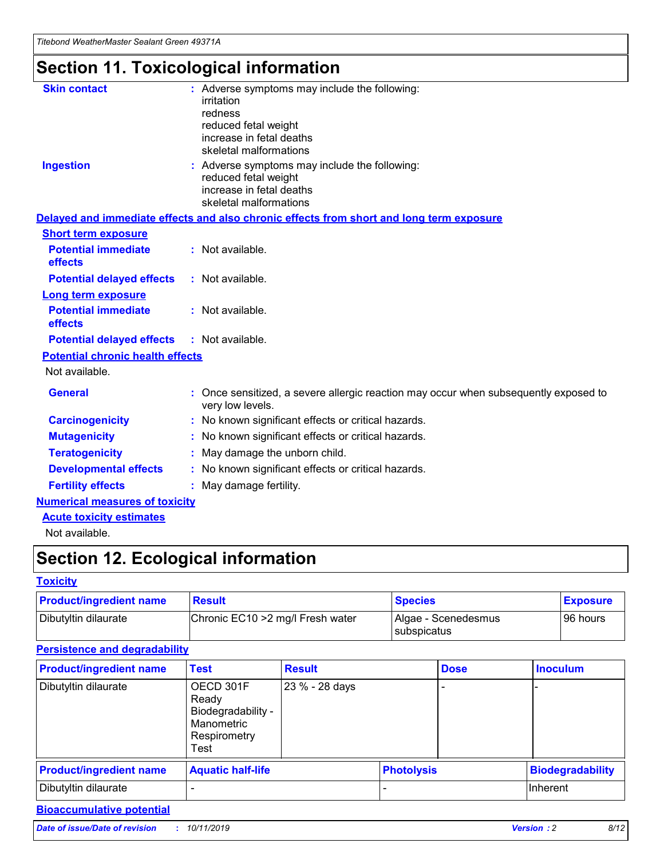## **Section 11. Toxicological information**

| <b>Skin contact</b>                     | : Adverse symptoms may include the following:<br>irritation<br>redness<br>reduced fetal weight<br>increase in fetal deaths<br>skeletal malformations |
|-----------------------------------------|------------------------------------------------------------------------------------------------------------------------------------------------------|
| <b>Ingestion</b>                        | : Adverse symptoms may include the following:<br>reduced fetal weight<br>increase in fetal deaths<br>skeletal malformations                          |
|                                         | Delayed and immediate effects and also chronic effects from short and long term exposure                                                             |
| <b>Short term exposure</b>              |                                                                                                                                                      |
| <b>Potential immediate</b><br>effects   | : Not available.                                                                                                                                     |
| <b>Potential delayed effects</b>        | : Not available.                                                                                                                                     |
| <b>Long term exposure</b>               |                                                                                                                                                      |
| <b>Potential immediate</b><br>effects   | : Not available.                                                                                                                                     |
| <b>Potential delayed effects</b>        | : Not available.                                                                                                                                     |
| <b>Potential chronic health effects</b> |                                                                                                                                                      |
| Not available.                          |                                                                                                                                                      |
| <b>General</b>                          | : Once sensitized, a severe allergic reaction may occur when subsequently exposed to<br>very low levels.                                             |
| <b>Carcinogenicity</b>                  | : No known significant effects or critical hazards.                                                                                                  |
| <b>Mutagenicity</b>                     | No known significant effects or critical hazards.                                                                                                    |
| <b>Teratogenicity</b>                   | May damage the unborn child.                                                                                                                         |
| <b>Developmental effects</b>            | No known significant effects or critical hazards.                                                                                                    |
| <b>Fertility effects</b>                | : May damage fertility.                                                                                                                              |
| <b>Numerical measures of toxicity</b>   |                                                                                                                                                      |
| <b>Acute toxicity estimates</b>         |                                                                                                                                                      |
|                                         |                                                                                                                                                      |

Not available.

## **Section 12. Ecological information**

#### **Toxicity**

| <b>Product/ingredient name</b> | <b>Result</b>                     | <b>Species</b>                       | <b>Exposure</b> |
|--------------------------------|-----------------------------------|--------------------------------------|-----------------|
| Dibutyltin dilaurate           | Chronic EC10 > 2 mg/l Fresh water | Algae - Scenedesmus<br>I subspicatus | l 96 hours      |

### **Persistence and degradability**

| <b>Product/ingredient name</b> | <b>Test</b>                                                                    | <b>Result</b>  |                   | <b>Dose</b> | <b>Inoculum</b>         |
|--------------------------------|--------------------------------------------------------------------------------|----------------|-------------------|-------------|-------------------------|
| Dibutyltin dilaurate           | OECD 301F<br>Ready<br>Biodegradability -<br>Manometric<br>Respirometry<br>Test | 23 % - 28 days |                   |             |                         |
| <b>Product/ingredient name</b> | <b>Aquatic half-life</b>                                                       |                | <b>Photolysis</b> |             | <b>Biodegradability</b> |
| Dibutyltin dilaurate           |                                                                                |                |                   |             | Inherent                |

### **Bioaccumulative potential**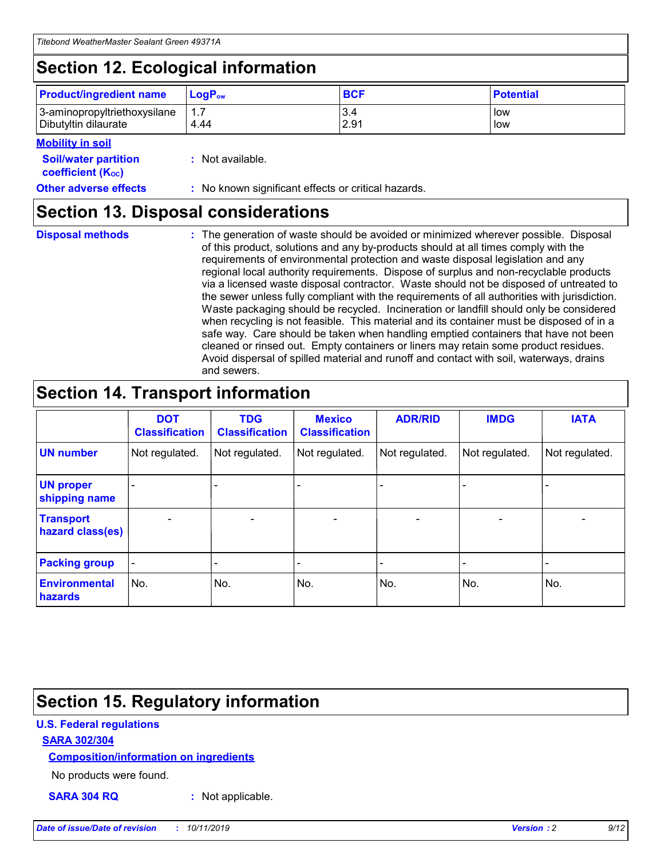## **Section 12. Ecological information**

| <b>Product/ingredient name</b> | $LoaPow$ | <b>BCF</b> | <b>Potential</b> |
|--------------------------------|----------|------------|------------------|
| 3-aminopropyltriethoxysilane   | 1.7      | 3.4        | low              |
| Dibutyltin dilaurate           | 4.44     | 2.91       | low              |

#### **Mobility in soil**

| <i></i>                                                       |                                                     |
|---------------------------------------------------------------|-----------------------------------------------------|
| <b>Soil/water partition</b><br>coefficient (K <sub>oc</sub> ) | : Not available.                                    |
| <b>Other adverse effects</b>                                  | : No known significant effects or critical hazards. |

### **Section 13. Disposal considerations**

**Disposal methods :**

The generation of waste should be avoided or minimized wherever possible. Disposal of this product, solutions and any by-products should at all times comply with the requirements of environmental protection and waste disposal legislation and any regional local authority requirements. Dispose of surplus and non-recyclable products via a licensed waste disposal contractor. Waste should not be disposed of untreated to the sewer unless fully compliant with the requirements of all authorities with jurisdiction. Waste packaging should be recycled. Incineration or landfill should only be considered when recycling is not feasible. This material and its container must be disposed of in a safe way. Care should be taken when handling emptied containers that have not been cleaned or rinsed out. Empty containers or liners may retain some product residues. Avoid dispersal of spilled material and runoff and contact with soil, waterways, drains and sewers.

## **Section 14. Transport information**

|                                      | <b>DOT</b><br><b>Classification</b> | <b>TDG</b><br><b>Classification</b> | <b>Mexico</b><br><b>Classification</b> | <b>ADR/RID</b>           | <b>IMDG</b>              | <b>IATA</b>    |
|--------------------------------------|-------------------------------------|-------------------------------------|----------------------------------------|--------------------------|--------------------------|----------------|
| <b>UN number</b>                     | Not regulated.                      | Not regulated.                      | Not regulated.                         | Not regulated.           | Not regulated.           | Not regulated. |
| <b>UN proper</b><br>shipping name    | $\blacksquare$                      |                                     |                                        |                          |                          |                |
| <b>Transport</b><br>hazard class(es) | $\blacksquare$                      | $\overline{\phantom{a}}$            | $\overline{\phantom{a}}$               | $\overline{\phantom{a}}$ | $\overline{\phantom{a}}$ | $\blacksquare$ |
| <b>Packing group</b>                 | $\overline{\phantom{a}}$            | -                                   | -                                      | -                        |                          | -              |
| <b>Environmental</b><br>hazards      | No.                                 | No.                                 | No.                                    | No.                      | No.                      | No.            |

## **Section 15. Regulatory information**

#### **U.S. Federal regulations**

#### **SARA 302/304**

#### **Composition/information on ingredients**

No products were found.

**SARA 304 RQ :** Not applicable.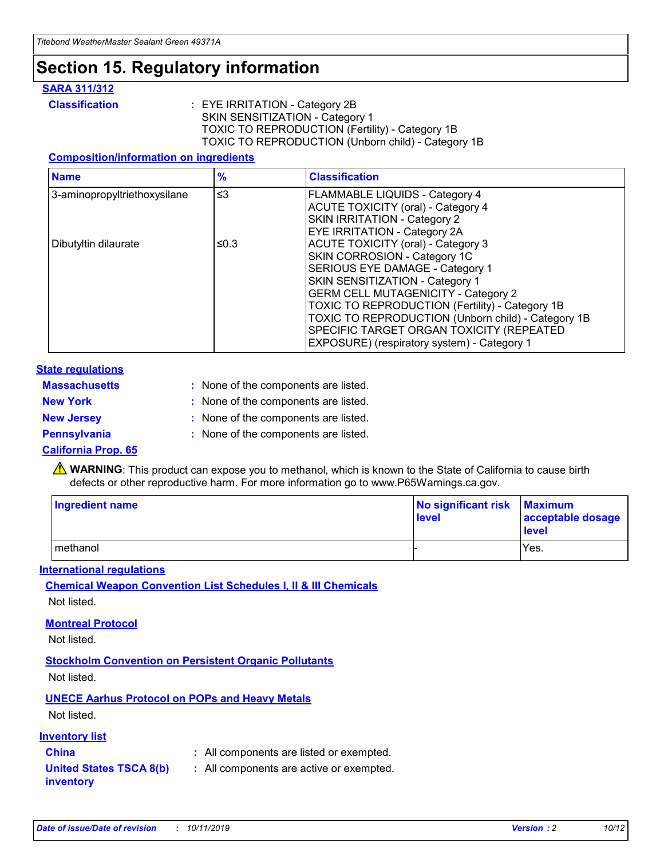### **Section 15. Regulatory information**

#### **SARA 311/312**

**Classification :** EYE IRRITATION - Category 2B SKIN SENSITIZATION - Category 1 TOXIC TO REPRODUCTION (Fertility) - Category 1B TOXIC TO REPRODUCTION (Unborn child) - Category 1B

#### **Composition/information on ingredients**

| <b>Name</b>                              | $\frac{9}{6}$ | <b>Classification</b>                                                                                            |
|------------------------------------------|---------------|------------------------------------------------------------------------------------------------------------------|
| $\leq$ 3<br>3-aminopropyltriethoxysilane |               | <b>FLAMMABLE LIQUIDS - Category 4</b><br><b>ACUTE TOXICITY (oral) - Category 4</b>                               |
|                                          |               | SKIN IRRITATION - Category 2<br>EYE IRRITATION - Category 2A                                                     |
| Dibutyltin dilaurate                     | ≤0.3          | ACUTE TOXICITY (oral) - Category 3<br>SKIN CORROSION - Category 1C                                               |
|                                          |               | SERIOUS EYE DAMAGE - Category 1<br>SKIN SENSITIZATION - Category 1<br><b>GERM CELL MUTAGENICITY - Category 2</b> |
|                                          |               | TOXIC TO REPRODUCTION (Fertility) - Category 1B<br>TOXIC TO REPRODUCTION (Unborn child) - Category 1B            |
|                                          |               | SPECIFIC TARGET ORGAN TOXICITY (REPEATED<br>EXPOSURE) (respiratory system) - Category 1                          |

#### **State regulations**

| <b>Massachusetts</b> | : None of the components are listed. |
|----------------------|--------------------------------------|
| <b>New York</b>      | : None of the components are listed. |
| <b>New Jersey</b>    | : None of the components are listed. |
| <b>Pennsylvania</b>  | : None of the components are listed. |

#### **California Prop. 65**

**A** WARNING: This product can expose you to methanol, which is known to the State of California to cause birth defects or other reproductive harm. For more information go to www.P65Warnings.ca.gov.

| <b>Ingredient name</b> | No significant risk Maximum<br>level | acceptable dosage<br>level |
|------------------------|--------------------------------------|----------------------------|
| methanol               |                                      | Yes.                       |

#### **International regulations**

**Chemical Weapon Convention List Schedules I, II & III Chemicals** Not listed.

#### **Montreal Protocol**

Not listed.

**Stockholm Convention on Persistent Organic Pollutants**

Not listed.

### **UNECE Aarhus Protocol on POPs and Heavy Metals**

Not listed.

#### **Inventory list**

### **China :** All components are listed or exempted.

**United States TSCA 8(b) inventory :** All components are active or exempted.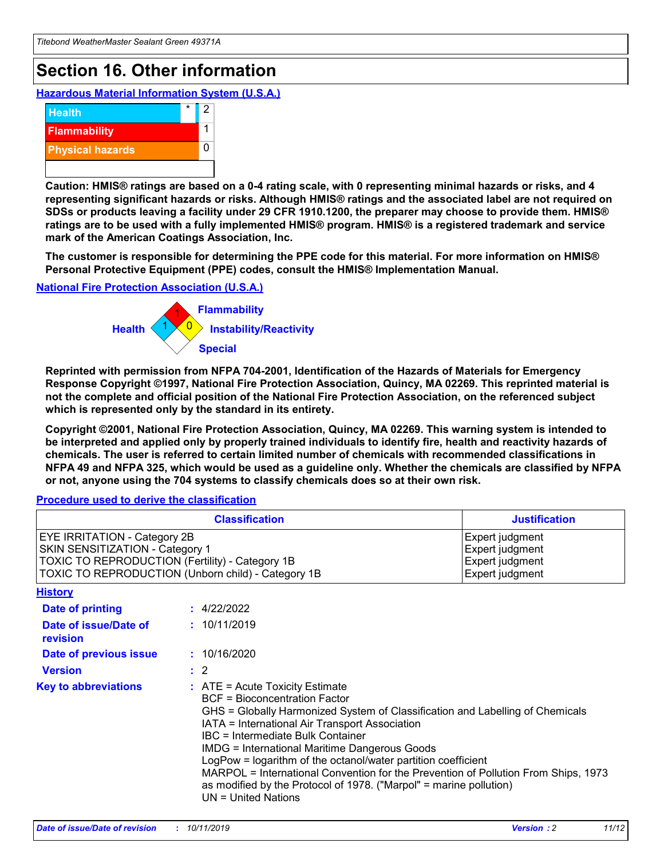## **Section 16. Other information**

**Hazardous Material Information System (U.S.A.)**



**Caution: HMIS® ratings are based on a 0-4 rating scale, with 0 representing minimal hazards or risks, and 4 representing significant hazards or risks. Although HMIS® ratings and the associated label are not required on SDSs or products leaving a facility under 29 CFR 1910.1200, the preparer may choose to provide them. HMIS® ratings are to be used with a fully implemented HMIS® program. HMIS® is a registered trademark and service mark of the American Coatings Association, Inc.**

**The customer is responsible for determining the PPE code for this material. For more information on HMIS® Personal Protective Equipment (PPE) codes, consult the HMIS® Implementation Manual.**

#### **National Fire Protection Association (U.S.A.)**



**Reprinted with permission from NFPA 704-2001, Identification of the Hazards of Materials for Emergency Response Copyright ©1997, National Fire Protection Association, Quincy, MA 02269. This reprinted material is not the complete and official position of the National Fire Protection Association, on the referenced subject which is represented only by the standard in its entirety.**

**Copyright ©2001, National Fire Protection Association, Quincy, MA 02269. This warning system is intended to be interpreted and applied only by properly trained individuals to identify fire, health and reactivity hazards of chemicals. The user is referred to certain limited number of chemicals with recommended classifications in NFPA 49 and NFPA 325, which would be used as a guideline only. Whether the chemicals are classified by NFPA or not, anyone using the 704 systems to classify chemicals does so at their own risk.**

#### **Procedure used to derive the classification**

| <b>Classification</b>                                                                                                                                                                  |                                                                                                                                                                                                                                                                   | <b>Justification</b>                                                                                                                                                                                                                                                                                       |  |
|----------------------------------------------------------------------------------------------------------------------------------------------------------------------------------------|-------------------------------------------------------------------------------------------------------------------------------------------------------------------------------------------------------------------------------------------------------------------|------------------------------------------------------------------------------------------------------------------------------------------------------------------------------------------------------------------------------------------------------------------------------------------------------------|--|
| <b>EYE IRRITATION - Category 2B</b><br>SKIN SENSITIZATION - Category 1<br><b>TOXIC TO REPRODUCTION (Fertility) - Category 1B</b><br>TOXIC TO REPRODUCTION (Unborn child) - Category 1B |                                                                                                                                                                                                                                                                   | Expert judgment<br>Expert judgment<br>Expert judgment<br>Expert judgment                                                                                                                                                                                                                                   |  |
| <b>History</b>                                                                                                                                                                         |                                                                                                                                                                                                                                                                   |                                                                                                                                                                                                                                                                                                            |  |
| <b>Date of printing</b>                                                                                                                                                                | : 4/22/2022                                                                                                                                                                                                                                                       |                                                                                                                                                                                                                                                                                                            |  |
| Date of issue/Date of<br>revision                                                                                                                                                      | : 10/11/2019                                                                                                                                                                                                                                                      |                                                                                                                                                                                                                                                                                                            |  |
| Date of previous issue                                                                                                                                                                 | : 10/16/2020                                                                                                                                                                                                                                                      |                                                                                                                                                                                                                                                                                                            |  |
| <b>Version</b>                                                                                                                                                                         | $\therefore$ 2                                                                                                                                                                                                                                                    |                                                                                                                                                                                                                                                                                                            |  |
| <b>Key to abbreviations</b>                                                                                                                                                            | $\therefore$ ATE = Acute Toxicity Estimate<br><b>BCF</b> = Bioconcentration Factor<br>IATA = International Air Transport Association<br><b>IBC</b> = Intermediate Bulk Container<br><b>IMDG = International Maritime Dangerous Goods</b><br>$UN = United Nations$ | GHS = Globally Harmonized System of Classification and Labelling of Chemicals<br>LogPow = logarithm of the octanol/water partition coefficient<br>MARPOL = International Convention for the Prevention of Pollution From Ships, 1973<br>as modified by the Protocol of 1978. ("Marpol" = marine pollution) |  |